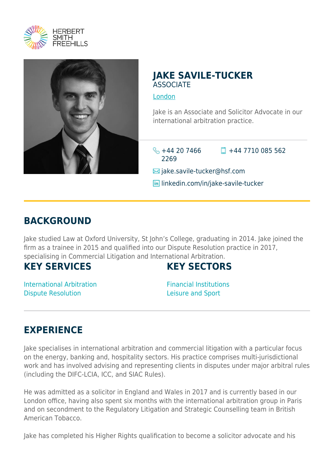



#### **JAKE SAVILE-TUCKER ASSOCIATE**

[London](https://www.herbertsmithfreehills.com/where-we-work/london)

Jake is an Associate and Solicitor Advocate in our international arbitration practice.

 $\frac{1}{2}$  +44 20 7466 2269  $\Box$  +44 7710 085 562

 $\boxtimes$  jake.savile-tucker@hsf.com

**in** linkedin.com/in/jake-savile-tucker

## **BACKGROUND**

Jake studied Law at Oxford University, St John's College, graduating in 2014. Jake joined the firm as a trainee in 2015 and qualified into our Dispute Resolution practice in 2017, specialising in Commercial Litigation and International Arbitration.

### **KEY SERVICES**

## **KEY SECTORS**

International Arbitration Dispute Resolution

Financial Institutions Leisure and Sport

# **EXPERIENCE**

Jake specialises in international arbitration and commercial litigation with a particular focus on the energy, banking and, hospitality sectors. His practice comprises multi-jurisdictional work and has involved advising and representing clients in disputes under major arbitral rules (including the DIFC-LCIA, ICC, and SIAC Rules).

He was admitted as a solicitor in England and Wales in 2017 and is currently based in our London office, having also spent six months with the international arbitration group in Paris and on secondment to the Regulatory Litigation and Strategic Counselling team in British American Tobacco.

Jake has completed his Higher Rights qualification to become a solicitor advocate and his